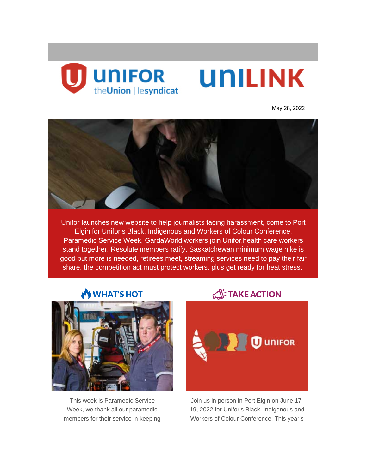

# **UNILINK**

May 28, 2022



Unifor launches new website to help journalists facing harassment, come to Port Elgin for Unifor's Black, Indigenous and Workers of Colour Conference, Paramedic Service Week, GardaWorld workers join Unifor,health care workers stand together, Resolute members ratify, Saskatchewan minimum wage hike is good but more is needed, retirees meet, streaming services need to pay their fair share, the competition act must protect workers, plus get ready for heat stress.

# **WHAT'S HOT**



This week is Paramedic Service Week, we thank all our paramedic members for their service in keeping



Join us in person in Port Elgin on June 17- 19, 2022 for Unifor's Black, Indigenous and Workers of Colour Conference. This year's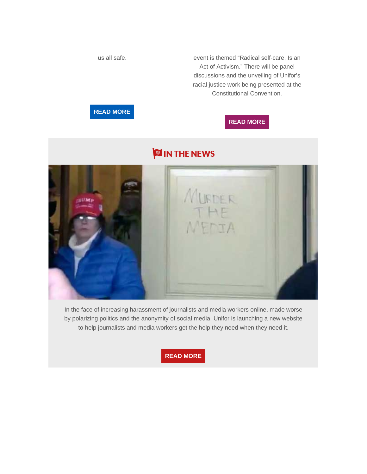us all safe.

event is themed "Radical self-care, Is an Act of Activism." There will be panel discussions and the unveiling of Unifor's racial justice work being presented at the Constitutional Convention.



#### **READ [MORE](https://www.unifor.org/news/events/unifor-black-indigenous-and-workers-colour-conference)**

# **OIN THE NEWS**



In the face of increasing harassment of journalists and media workers online, made worse by polarizing politics and the anonymity of social media, Unifor is launching a new website to help journalists and media workers get the help they need when they need it.

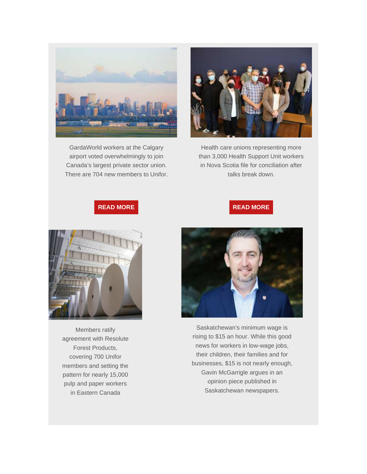

GardaWorld workers at the Calgary airport voted overwhelmingly to join Canada's largest private sector union. There are 704 new members to Unifor.



Health care unions representing more than 3,000 Health Support Unit workers in Nova Scotia file for conciliation after talks break down.

#### **READ [MORE](https://www.unifor.org/news/all-news/unifor-welcomes-gardaworld-yyc-airport-workers)**



Members ratify agreement with Resolute Forest Products, covering 700 Unifor members and setting the pattern for nearly 15,000 pulp and paper workers in Eastern Canada



Saskatchewan's minimum wage is rising to \$15 an hour. While this good news for workers in low-wage jobs, their children, their families and for businesses, \$15 is not nearly enough, Gavin McGarrigle argues in an opinion piece published in Saskatchewan newspapers.

#### **READ [MORE](https://www.unifor.org/news/all-news/unions-file-conciliation-after-talks-ns-health-and-iwk-break-down)**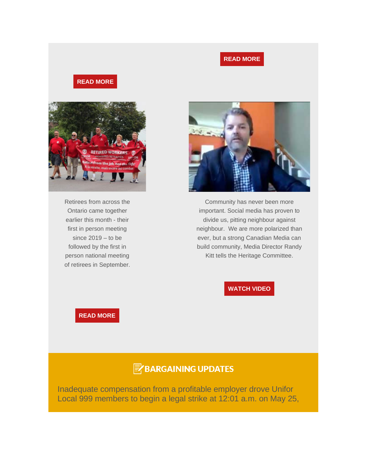#### **READ [MORE](https://www.unifor.org/news/all-news/no-matter-which-way-you-slice-it-15-bare-minimum-saskatchewans-minimum-wage)**

#### **READ [MORE](https://www.unifor.org/news/all-news/unifor-ratifies-agreement-resolute-forest-products)**



Retirees from across the Ontario came together earlier this month - their first in person meeting since 2019 – to be followed by the first in person national meeting of retirees in September.



Community has never been more important. Social media has proven to divide us, pitting neighbour against neighbour. We are more polarized than ever, but a strong Canadian Media can build community, Media Director Randy Kitt tells the Heritage Committee.

**[WATCH](https://www.facebook.com/UniforCanada/videos/306357351552182) VIDEO**

#### **READ [MORE](https://www.unifor.org/news/all-news/retirees-meet-person)**

# **E** BARGAINING UPDATES

Inadequate compensation from a profitable employer drove Unifor Local 999 members to begin a legal strike at 12:01 a.m. on May 25,